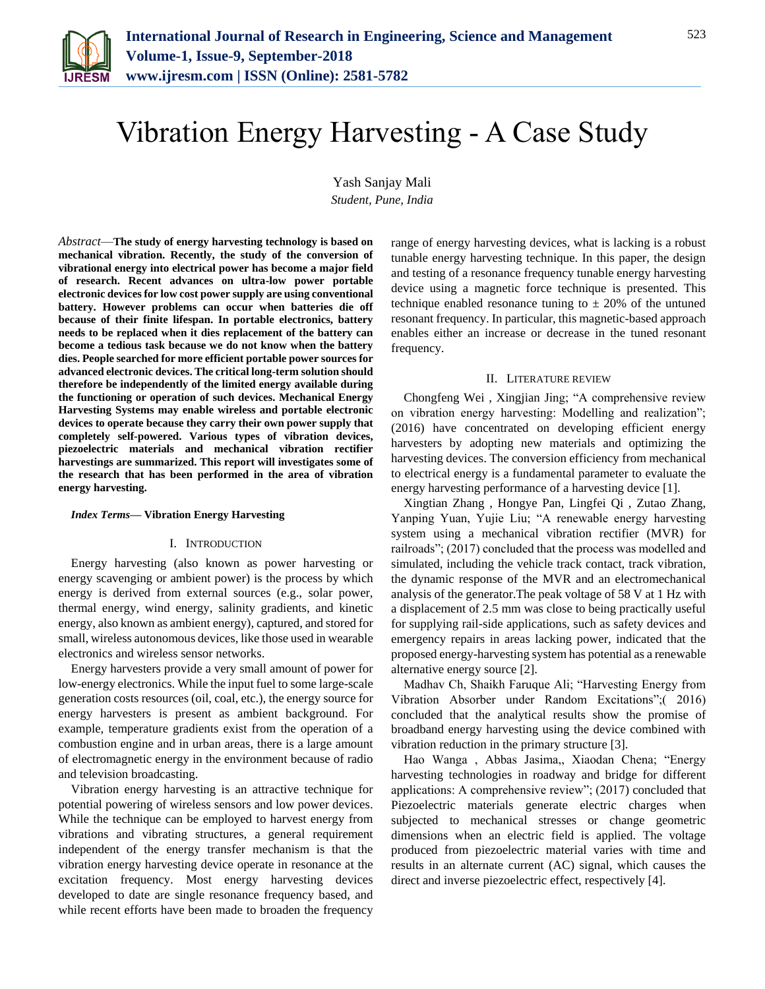

# Vibration Energy Harvesting - A Case Study

Yash Sanjay Mali *Student, Pune, India*

*Abstract*—**The study of energy harvesting technology is based on mechanical vibration. Recently, the study of the conversion of vibrational energy into electrical power has become a major field of research. Recent advances on ultra-low power portable electronic devices for low cost power supply are using conventional battery. However problems can occur when batteries die off because of their finite lifespan. In portable electronics, battery needs to be replaced when it dies replacement of the battery can become a tedious task because we do not know when the battery dies. People searched for more efficient portable power sources for advanced electronic devices. The critical long-term solution should therefore be independently of the limited energy available during the functioning or operation of such devices. Mechanical Energy Harvesting Systems may enable wireless and portable electronic devices to operate because they carry their own power supply that completely self-powered. Various types of vibration devices, piezoelectric materials and mechanical vibration rectifier harvestings are summarized. This report will investigates some of the research that has been performed in the area of vibration energy harvesting.**

#### *Index Terms***— Vibration Energy Harvesting**

#### I. INTRODUCTION

Energy harvesting (also known as power harvesting or energy scavenging or ambient power) is the process by which energy is derived from external sources (e.g., solar power, thermal energy, wind energy, salinity gradients, and kinetic energy, also known as ambient energy), captured, and stored for small, wireless autonomous devices, like those used in wearable electronics and wireless sensor networks.

Energy harvesters provide a very small amount of power for low-energy electronics. While the input fuel to some large-scale generation costs resources (oil, coal, etc.), the energy source for energy harvesters is present as ambient background. For example, temperature gradients exist from the operation of a combustion engine and in urban areas, there is a large amount of electromagnetic energy in the environment because of radio and television broadcasting.

Vibration energy harvesting is an attractive technique for potential powering of wireless sensors and low power devices. While the technique can be employed to harvest energy from vibrations and vibrating structures, a general requirement independent of the energy transfer mechanism is that the vibration energy harvesting device operate in resonance at the excitation frequency. Most energy harvesting devices developed to date are single resonance frequency based, and while recent efforts have been made to broaden the frequency

range of energy harvesting devices, what is lacking is a robust tunable energy harvesting technique. In this paper, the design and testing of a resonance frequency tunable energy harvesting device using a magnetic force technique is presented. This technique enabled resonance tuning to  $\pm$  20% of the untuned resonant frequency. In particular, this magnetic-based approach enables either an increase or decrease in the tuned resonant frequency.

#### II. LITERATURE REVIEW

Chongfeng Wei , Xingjian Jing; "A comprehensive review on vibration energy harvesting: Modelling and realization"; (2016) have concentrated on developing efficient energy harvesters by adopting new materials and optimizing the harvesting devices. The conversion efficiency from mechanical to electrical energy is a fundamental parameter to evaluate the energy harvesting performance of a harvesting device [1].

Xingtian Zhang , Hongye Pan, Lingfei Qi , Zutao Zhang, Yanping Yuan, Yujie Liu; "A renewable energy harvesting system using a mechanical vibration rectifier (MVR) for railroads"; (2017) concluded that the process was modelled and simulated, including the vehicle track contact, track vibration, the dynamic response of the MVR and an electromechanical analysis of the generator.The peak voltage of 58 V at 1 Hz with a displacement of 2.5 mm was close to being practically useful for supplying rail-side applications, such as safety devices and emergency repairs in areas lacking power, indicated that the proposed energy-harvesting system has potential as a renewable alternative energy source [2].

Madhav Ch, Shaikh Faruque Ali; "Harvesting Energy from Vibration Absorber under Random Excitations";( 2016) concluded that the analytical results show the promise of broadband energy harvesting using the device combined with vibration reduction in the primary structure [3].

Hao Wanga , Abbas Jasima,, Xiaodan Chena; "Energy harvesting technologies in roadway and bridge for different applications: A comprehensive review"; (2017) concluded that Piezoelectric materials generate electric charges when subjected to mechanical stresses or change geometric dimensions when an electric field is applied. The voltage produced from piezoelectric material varies with time and results in an alternate current (AC) signal, which causes the direct and inverse piezoelectric effect, respectively [4].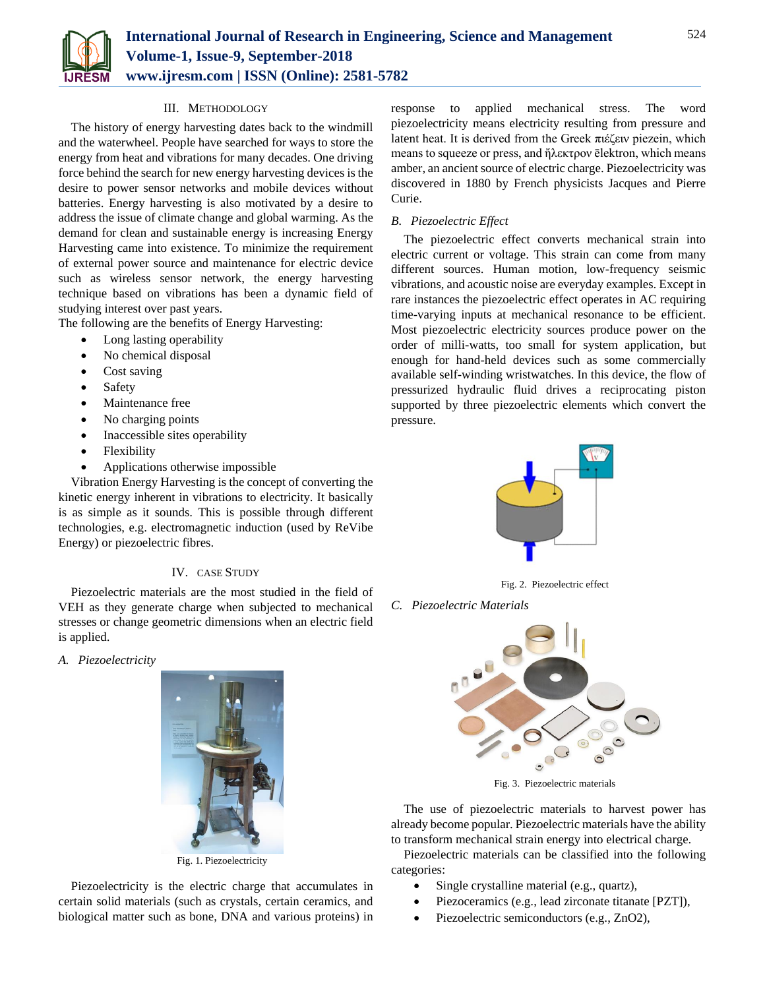

## III. METHODOLOGY

The history of energy harvesting dates back to the windmill and the waterwheel. People have searched for ways to store the energy from heat and vibrations for many decades. One driving force behind the search for new energy harvesting devices is the desire to power sensor networks and mobile devices without batteries. Energy harvesting is also motivated by a desire to address the issue of climate change and global warming. As the demand for clean and sustainable energy is increasing Energy Harvesting came into existence. To minimize the requirement of external power source and maintenance for electric device such as wireless sensor network, the energy harvesting technique based on vibrations has been a dynamic field of studying interest over past years.

The following are the benefits of Energy Harvesting:

- Long lasting operability
- No chemical disposal
- Cost saving
- Safety
- Maintenance free
- No charging points
- Inaccessible sites operability
- Flexibility
- Applications otherwise impossible

Vibration Energy Harvesting is the concept of converting the kinetic energy inherent in vibrations to electricity. It basically is as simple as it sounds. This is possible through different technologies, e.g. electromagnetic induction (used by ReVibe Energy) or piezoelectric fibres.

## IV. CASE STUDY

Piezoelectric materials are the most studied in the field of VEH as they generate charge when subjected to mechanical stresses or change geometric dimensions when an electric field is applied.

*A. Piezoelectricity*



Fig. 1. Piezoelectricity

Piezoelectricity is the electric charge that accumulates in certain solid materials (such as crystals, certain ceramics, and biological matter such as bone, DNA and various proteins) in response to applied mechanical stress. The word piezoelectricity means electricity resulting from pressure and latent heat. It is derived from the Greek πιέζειν piezein, which means to squeeze or press, and ἤλεκτρον ēlektron, which means amber, an ancient source of electric charge. Piezoelectricity was discovered in 1880 by French physicists Jacques and Pierre Curie.

## *B. Piezoelectric Effect*

The piezoelectric effect converts mechanical strain into electric current or voltage. This strain can come from many different sources. Human motion, low-frequency seismic vibrations, and acoustic noise are everyday examples. Except in rare instances the piezoelectric effect operates in AC requiring time-varying inputs at mechanical resonance to be efficient. Most piezoelectric electricity sources produce power on the order of milli-watts, too small for system application, but enough for hand-held devices such as some commercially available self-winding wristwatches. In this device, the flow of pressurized hydraulic fluid drives a reciprocating piston supported by three piezoelectric elements which convert the pressure.



Fig. 2. Piezoelectric effect

*C. Piezoelectric Materials*



Fig. 3. Piezoelectric materials

The use of piezoelectric materials to harvest power has already become popular. Piezoelectric materials have the ability to transform mechanical strain energy into electrical charge.

Piezoelectric materials can be classified into the following categories:

- Single crystalline material (e.g., quartz),
- Piezoceramics (e.g., lead zirconate titanate [PZT]),
- Piezoelectric semiconductors (e.g., ZnO2),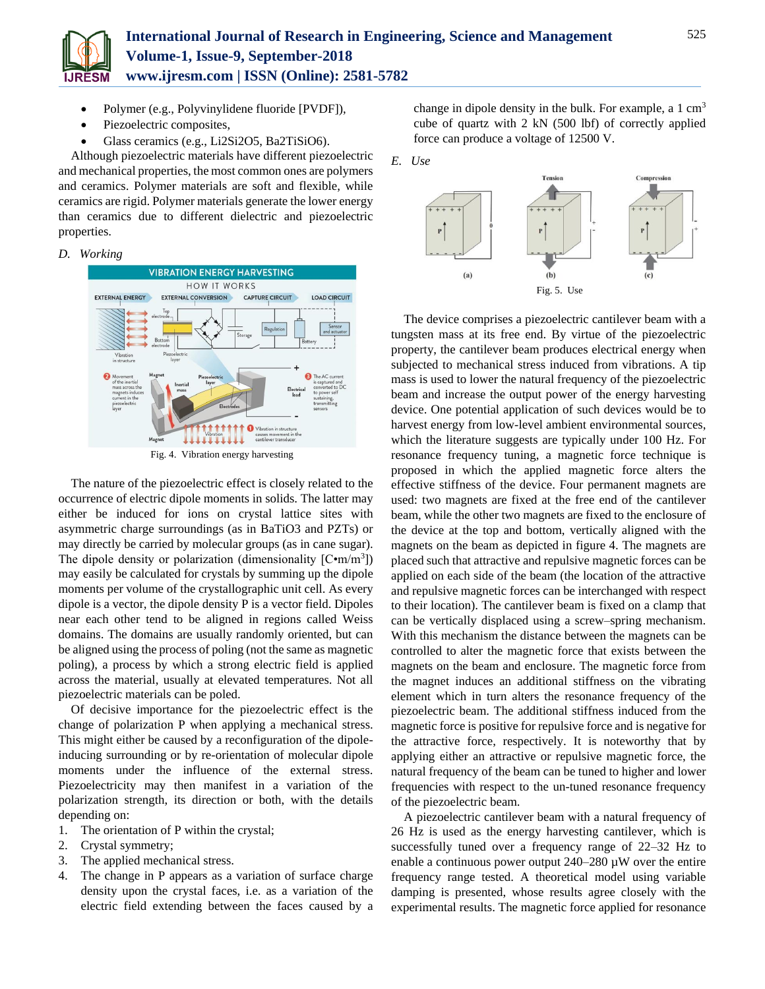

- Polymer (e.g., Polyvinylidene fluoride [PVDF]),
- Piezoelectric composites,
- Glass ceramics (e.g., Li2Si2O5, Ba2TiSiO6).

Although piezoelectric materials have different piezoelectric and mechanical properties, the most common ones are polymers and ceramics. Polymer materials are soft and flexible, while ceramics are rigid. Polymer materials generate the lower energy than ceramics due to different dielectric and piezoelectric properties.

### *D. Working*



Fig. 4. Vibration energy harvesting

The nature of the piezoelectric effect is closely related to the occurrence of electric dipole moments in solids. The latter may either be induced for ions on crystal lattice sites with asymmetric charge surroundings (as in BaTiO3 and PZTs) or may directly be carried by molecular groups (as in cane sugar). The dipole density or polarization (dimensionality  $[C \cdot m/m^3]$ ) may easily be calculated for crystals by summing up the dipole moments per volume of the crystallographic unit cell. As every dipole is a vector, the dipole density P is a vector field. Dipoles near each other tend to be aligned in regions called Weiss domains. The domains are usually randomly oriented, but can be aligned using the process of poling (not the same as magnetic poling), a process by which a strong electric field is applied across the material, usually at elevated temperatures. Not all piezoelectric materials can be poled.

Of decisive importance for the piezoelectric effect is the change of polarization P when applying a mechanical stress. This might either be caused by a reconfiguration of the dipoleinducing surrounding or by re-orientation of molecular dipole moments under the influence of the external stress. Piezoelectricity may then manifest in a variation of the polarization strength, its direction or both, with the details depending on:

- 1. The orientation of P within the crystal;
- 2. Crystal symmetry;
- 3. The applied mechanical stress.
- 4. The change in P appears as a variation of surface charge density upon the crystal faces, i.e. as a variation of the electric field extending between the faces caused by a

change in dipole density in the bulk. For example, a  $1 \text{ cm}^3$ cube of quartz with 2 kN (500 lbf) of correctly applied force can produce a voltage of 12500 V.

*E. Use*



The device comprises a piezoelectric cantilever beam with a tungsten mass at its free end. By virtue of the piezoelectric property, the cantilever beam produces electrical energy when subjected to mechanical stress induced from vibrations. A tip mass is used to lower the natural frequency of the piezoelectric beam and increase the output power of the energy harvesting device. One potential application of such devices would be to harvest energy from low-level ambient environmental sources, which the literature suggests are typically under 100 Hz. For resonance frequency tuning, a magnetic force technique is proposed in which the applied magnetic force alters the effective stiffness of the device. Four permanent magnets are used: two magnets are fixed at the free end of the cantilever beam, while the other two magnets are fixed to the enclosure of the device at the top and bottom, vertically aligned with the magnets on the beam as depicted in figure 4. The magnets are placed such that attractive and repulsive magnetic forces can be applied on each side of the beam (the location of the attractive and repulsive magnetic forces can be interchanged with respect to their location). The cantilever beam is fixed on a clamp that can be vertically displaced using a screw–spring mechanism. With this mechanism the distance between the magnets can be controlled to alter the magnetic force that exists between the magnets on the beam and enclosure. The magnetic force from the magnet induces an additional stiffness on the vibrating element which in turn alters the resonance frequency of the piezoelectric beam. The additional stiffness induced from the magnetic force is positive for repulsive force and is negative for the attractive force, respectively. It is noteworthy that by applying either an attractive or repulsive magnetic force, the natural frequency of the beam can be tuned to higher and lower frequencies with respect to the un-tuned resonance frequency of the piezoelectric beam.

A piezoelectric cantilever beam with a natural frequency of 26 Hz is used as the energy harvesting cantilever, which is successfully tuned over a frequency range of 22–32 Hz to enable a continuous power output 240–280 µW over the entire frequency range tested. A theoretical model using variable damping is presented, whose results agree closely with the experimental results. The magnetic force applied for resonance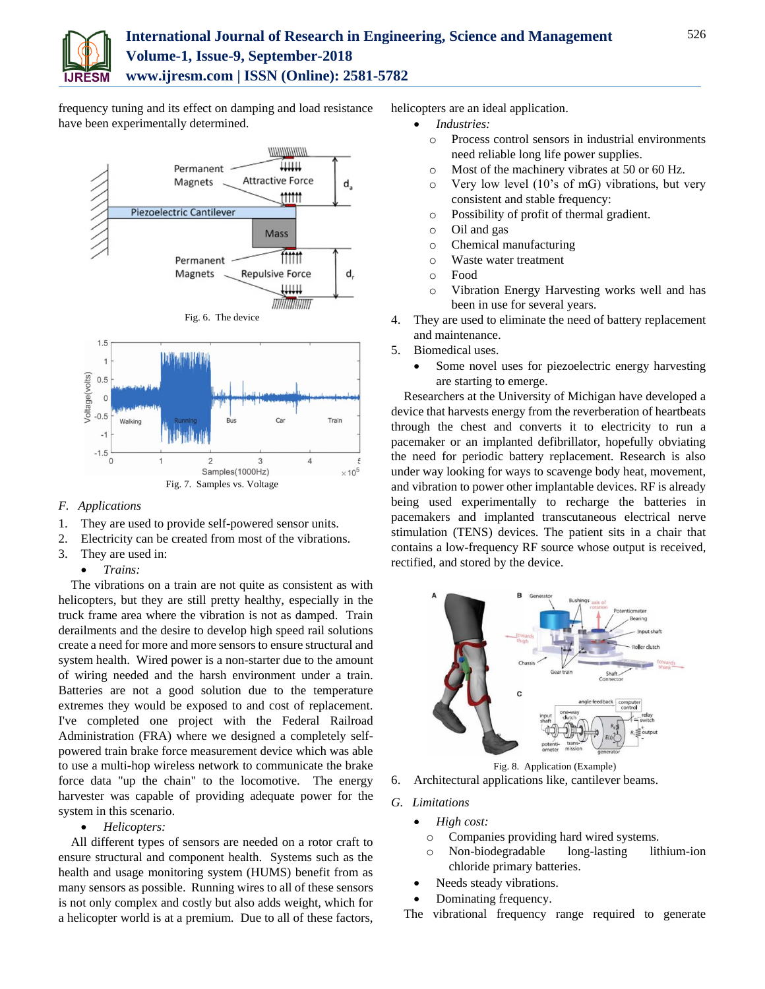

frequency tuning and its effect on damping and load resistance have been experimentally determined.





# *F. Applications*

- 1. They are used to provide self-powered sensor units.
- 2. Electricity can be created from most of the vibrations.
- 3. They are used in:
	- *Trains:*

The vibrations on a train are not quite as consistent as with helicopters, but they are still pretty healthy, especially in the truck frame area where the vibration is not as damped. Train derailments and the desire to develop high speed rail solutions create a need for more and more sensors to ensure structural and system health. Wired power is a non-starter due to the amount of wiring needed and the harsh environment under a train. Batteries are not a good solution due to the temperature extremes they would be exposed to and cost of replacement. I've completed one project with the Federal Railroad Administration (FRA) where we designed a completely selfpowered train brake force measurement device which was able to use a multi-hop wireless network to communicate the brake force data "up the chain" to the locomotive. The energy harvester was capable of providing adequate power for the system in this scenario.

# *Helicopters:*

All different types of sensors are needed on a rotor craft to ensure structural and component health. Systems such as the health and usage monitoring system (HUMS) benefit from as many sensors as possible. Running wires to all of these sensors is not only complex and costly but also adds weight, which for a helicopter world is at a premium. Due to all of these factors,

helicopters are an ideal application.

- *Industries:*
	- o Process control sensors in industrial environments need reliable long life power supplies.
	- o Most of the machinery vibrates at 50 or 60 Hz.
	- o Very low level (10's of mG) vibrations, but very consistent and stable frequency:
	- o Possibility of profit of thermal gradient.
	- o Oil and gas
	- o Chemical manufacturing
	- o Waste water treatment
	- o Food
	- o Vibration Energy Harvesting works well and has been in use for several years.
- 4. They are used to eliminate the need of battery replacement and maintenance.
- 5. Biomedical uses.
	- Some novel uses for piezoelectric energy harvesting are starting to emerge.

Researchers at the University of Michigan have developed a device that harvests energy from the reverberation of heartbeats through the chest and converts it to electricity to run a pacemaker or an implanted defibrillator, hopefully obviating the need for periodic battery replacement. Research is also under way looking for ways to scavenge body heat, movement, and vibration to power other implantable devices. RF is already being used experimentally to recharge the batteries in pacemakers and implanted transcutaneous electrical nerve stimulation (TENS) devices. The patient sits in a chair that contains a low-frequency RF source whose output is received, rectified, and stored by the device.



Fig. 8. Application (Example)

- 6. Architectural applications like, cantilever beams.
- *G. Limitations*
	- *High cost:*
		- o Companies providing hard wired systems.
		- o Non-biodegradable long-lasting lithium-ion chloride primary batteries.
	- Needs steady vibrations.
	- Dominating frequency.

The vibrational frequency range required to generate